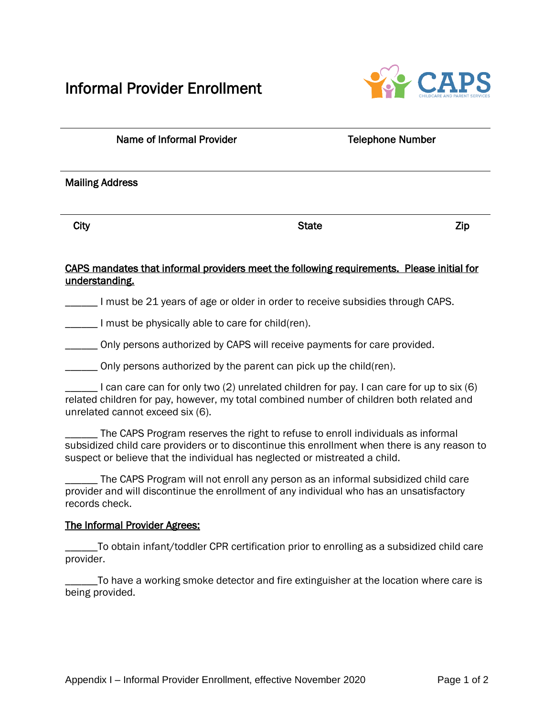## Informal Provider Enrollment



| Name of Informal Provider | <b>Telephone Number</b> |            |  |
|---------------------------|-------------------------|------------|--|
| <b>Mailing Address</b>    |                         |            |  |
| City                      | <b>State</b>            | <b>Zip</b> |  |

## CAPS mandates that informal providers meet the following requirements. Please initial for understanding.

I must be 21 years of age or older in order to receive subsidies through CAPS.

**\_\_\_\_\_** I must be physically able to care for child(ren).

\_\_\_\_\_\_ Only persons authorized by CAPS will receive payments for care provided.

\_\_\_\_\_\_ Only persons authorized by the parent can pick up the child(ren).

\_\_\_\_\_\_ I can care can for only two (2) unrelated children for pay. I can care for up to six (6) related children for pay, however, my total combined number of children both related and unrelated cannot exceed six (6).

The CAPS Program reserves the right to refuse to enroll individuals as informal subsidized child care providers or to discontinue this enrollment when there is any reason to suspect or believe that the individual has neglected or mistreated a child.

The CAPS Program will not enroll any person as an informal subsidized child care provider and will discontinue the enrollment of any individual who has an unsatisfactory records check.

## The Informal Provider Agrees:

\_\_\_\_\_\_To obtain infant/toddler CPR certification prior to enrolling as a subsidized child care provider.

\_\_\_\_\_\_To have a working smoke detector and fire extinguisher at the location where care is being provided.